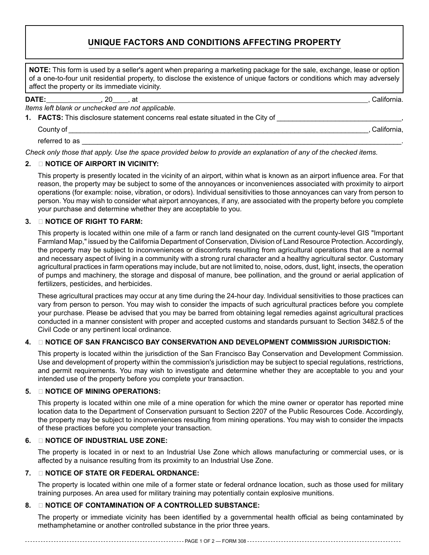# **Unique Factors and Conditions Affecting Property**

**NOTE:** This form is used by a seller's agent when preparing a marketing package for the sale, exchange, lease or option of a one-to-four unit residential property, to disclose the existence of unique factors or conditions which may adversely affect the property or its immediate vicinity.

**DATE:** , 20 , at , California.

*Items left blank or unchecked are not applicable.*

**1. FACTS:** This disclosure statement concerns real estate situated in the City of

| County of      | California, |  |
|----------------|-------------|--|
| referred to as |             |  |

*Check only those that apply. Use the space provided below to provide an explanation of any of the checked items.* 

# **2. � NOTICE OF AIRPORT IN VICINITY:**

This property is presently located in the vicinity of an airport, within what is known as an airport influence area. For that reason, the property may be subject to some of the annoyances or inconveniences associated with proximity to airport operations (for example: noise, vibration, or odors). Individual sensitivities to those annoyances can vary from person to person. You may wish to consider what airport annoyances, if any, are associated with the property before you complete your purchase and determine whether they are acceptable to you.

## **3. � NOTICE OF RIGHT TO FARM:**

This property is located within one mile of a farm or ranch land designated on the current county-level GIS "Important Farmland Map," issued by the California Department of Conservation, Division of Land Resource Protection. Accordingly, the property may be subject to inconveniences or discomforts resulting from agricultural operations that are a normal and necessary aspect of living in a community with a strong rural character and a healthy agricultural sector. Customary agricultural practices in farm operations may include, but are not limited to, noise, odors, dust, light, insects, the operation of pumps and machinery, the storage and disposal of manure, bee pollination, and the ground or aerial application of fertilizers, pesticides, and herbicides.

These agricultural practices may occur at any time during the 24-hour day. Individual sensitivities to those practices can vary from person to person. You may wish to consider the impacts of such agricultural practices before you complete your purchase. Please be advised that you may be barred from obtaining legal remedies against agricultural practices conducted in a manner consistent with proper and accepted customs and standards pursuant to Section 3482.5 of the Civil Code or any pertinent local ordinance.

#### **4. � NOTICE OF SAN FRANCISCO BAY CONSERVATION AND DEVELOPMENT COMMISSION JURISDICTION:**

This property is located within the jurisdiction of the San Francisco Bay Conservation and Development Commission. Use and development of property within the commission's jurisdiction may be subject to special regulations, restrictions, and permit requirements. You may wish to investigate and determine whether they are acceptable to you and your intended use of the property before you complete your transaction.

#### **5. � NOTICE OF MINING OPERATIONS:**

This property is located within one mile of a mine operation for which the mine owner or operator has reported mine location data to the Department of Conservation pursuant to Section 2207 of the Public Resources Code. Accordingly, the property may be subject to inconveniences resulting from mining operations. You may wish to consider the impacts of these practices before you complete your transaction.

#### **6. � NOTICE OF INDUSTRIAL USE ZONE:**

The property is located in or next to an Industrial Use Zone which allows manufacturing or commercial uses, or is affected by a nuisance resulting from its proximity to an Industrial Use Zone.

#### **7. � NOTICE OF STATE OR FEDERAL ORDNANCE:**

The property is located within one mile of a former state or federal ordnance location, such as those used for military training purposes. An area used for military training may potentially contain explosive munitions.

# **8. � NOTICE OF CONTAMINATION OF A CONTROLLED SUBSTANCE:**

The property or immediate vicinity has been identified by a governmental health official as being contaminated by methamphetamine or another controlled substance in the prior three years.

------------------------------------------------------------- PAGE 1 OF 2 — FORM 308 -----------------------------------------------------------